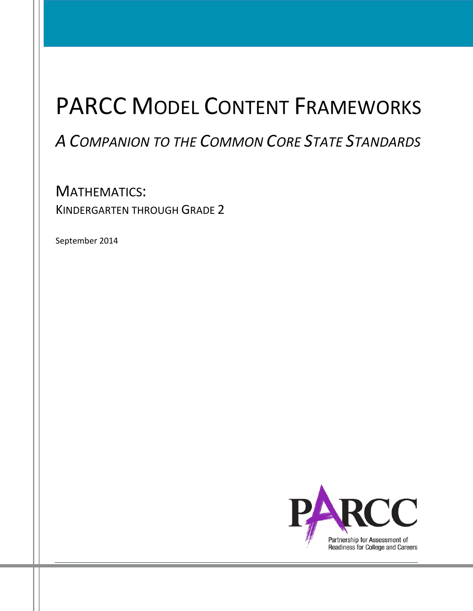# PARCC MODEL CONTENT FRAMEWORKS

## *A COMPANION TO THE COMMON CORE STATE STANDARDS*

MATHEMATICS: KINDERGARTEN THROUGH GRADE 2

September 2014

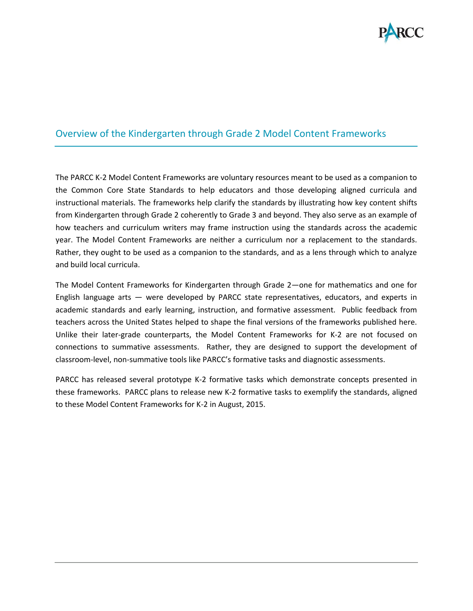

## Overview of the Kindergarten through Grade 2 Model Content Frameworks

The PARCC K-2 Model Content Frameworks are voluntary resources meant to be used as a companion to the Common Core State Standards to help educators and those developing aligned curricula and instructional materials. The frameworks help clarify the standards by illustrating how key content shifts from Kindergarten through Grade 2 coherently to Grade 3 and beyond. They also serve as an example of how teachers and curriculum writers may frame instruction using the standards across the academic year. The Model Content Frameworks are neither a curriculum nor a replacement to the standards. Rather, they ought to be used as a companion to the standards, and as a lens through which to analyze and build local curricula.

The Model Content Frameworks for Kindergarten through Grade 2—one for mathematics and one for English language arts — were developed by PARCC state representatives, educators, and experts in academic standards and early learning, instruction, and formative assessment. Public feedback from teachers across the United States helped to shape the final versions of the frameworks published here. Unlike their later-grade counterparts, the Model Content Frameworks for K-2 are not focused on connections to summative assessments. Rather, they are designed to support the development of classroom-level, non-summative tools like PARCC's formative tasks and diagnostic assessments.

PARCC has released several prototype K-2 formative tasks which demonstrate concepts presented in these frameworks. PARCC plans to release new K-2 formative tasks to exemplify the standards, aligned to these Model Content Frameworks for K-2 in August, 2015.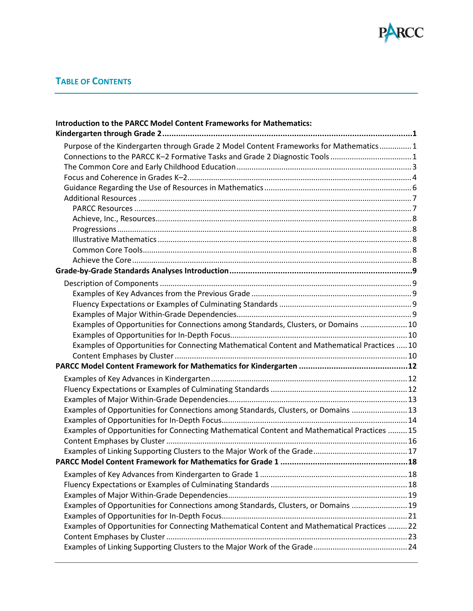

## **TABLE OF CONTENTS**

| Introduction to the PARCC Model Content Frameworks for Mathematics:                          |  |
|----------------------------------------------------------------------------------------------|--|
|                                                                                              |  |
| Purpose of the Kindergarten through Grade 2 Model Content Frameworks for Mathematics 1       |  |
|                                                                                              |  |
|                                                                                              |  |
|                                                                                              |  |
|                                                                                              |  |
|                                                                                              |  |
|                                                                                              |  |
|                                                                                              |  |
|                                                                                              |  |
|                                                                                              |  |
|                                                                                              |  |
|                                                                                              |  |
|                                                                                              |  |
|                                                                                              |  |
|                                                                                              |  |
|                                                                                              |  |
|                                                                                              |  |
| Examples of Opportunities for Connections among Standards, Clusters, or Domains  10          |  |
|                                                                                              |  |
| Examples of Opportunities for Connecting Mathematical Content and Mathematical Practices  10 |  |
|                                                                                              |  |
|                                                                                              |  |
|                                                                                              |  |
|                                                                                              |  |
|                                                                                              |  |
| Examples of Opportunities for Connections among Standards, Clusters, or Domains  13          |  |
|                                                                                              |  |
| Examples of Opportunities for Connecting Mathematical Content and Mathematical Practices  15 |  |
|                                                                                              |  |
|                                                                                              |  |
|                                                                                              |  |
|                                                                                              |  |
|                                                                                              |  |
|                                                                                              |  |
| Examples of Opportunities for Connections among Standards, Clusters, or Domains  19          |  |
|                                                                                              |  |
| Examples of Opportunities for Connecting Mathematical Content and Mathematical Practices  22 |  |
|                                                                                              |  |
|                                                                                              |  |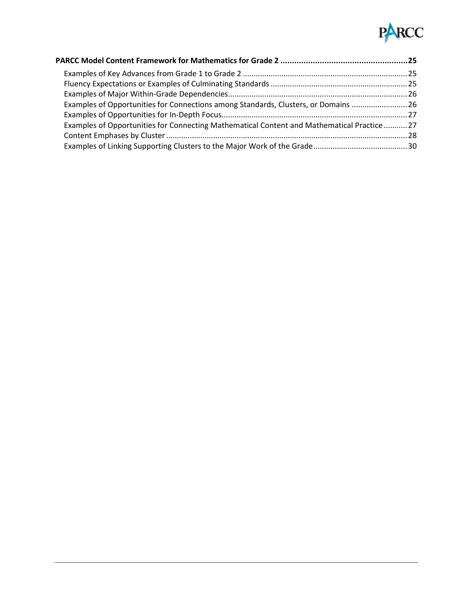

| Examples of Opportunities for Connections among Standards, Clusters, or Domains  26         |  |
|---------------------------------------------------------------------------------------------|--|
|                                                                                             |  |
| Examples of Opportunities for Connecting Mathematical Content and Mathematical Practice  27 |  |
|                                                                                             |  |
|                                                                                             |  |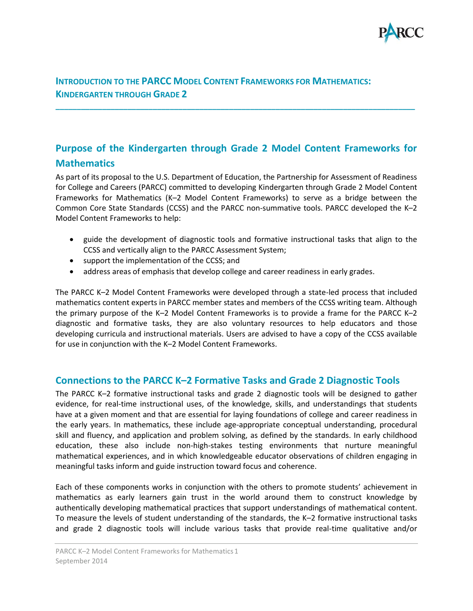

## <span id="page-4-0"></span>**INTRODUCTION TO THE PARCC MODEL CONTENT FRAMEWORKS FOR MATHEMATICS: KINDERGARTEN THROUGH GRADE 2**

## <span id="page-4-1"></span>**Purpose of the Kindergarten through Grade 2 Model Content Frameworks for Mathematics**

**\_\_\_\_\_\_\_\_\_\_\_\_\_\_\_\_\_\_\_\_\_\_\_\_\_\_\_\_\_\_\_\_\_\_\_\_\_\_\_\_\_\_\_\_\_\_\_\_\_\_\_\_\_\_\_\_\_\_\_\_\_\_\_\_\_\_\_\_\_\_\_\_\_\_\_\_\_\_\_\_\_\_\_\_\_**

As part of its proposal to the U.S. Department of Education, the Partnership for Assessment of Readiness for College and Careers (PARCC) committed to developing Kindergarten through Grade 2 Model Content Frameworks for Mathematics (K–2 Model Content Frameworks) to serve as a bridge between the Common Core State Standards (CCSS) and the PARCC non-summative tools. PARCC developed the K–2 Model Content Frameworks to help:

- guide the development of diagnostic tools and formative instructional tasks that align to the CCSS and vertically align to the PARCC Assessment System;
- support the implementation of the CCSS; and
- address areas of emphasis that develop college and career readiness in early grades.

The PARCC K–2 Model Content Frameworks were developed through a state-led process that included mathematics content experts in PARCC member states and members of the CCSS writing team. Although the primary purpose of the K–2 Model Content Frameworks is to provide a frame for the PARCC K–2 diagnostic and formative tasks, they are also voluntary resources to help educators and those developing curricula and instructional materials. Users are advised to have a copy of the CCSS available for use in conjunction with the K–2 Model Content Frameworks.

## <span id="page-4-2"></span>**Connections to the PARCC K–2 Formative Tasks and Grade 2 Diagnostic Tools**

The PARCC K–2 formative instructional tasks and grade 2 diagnostic tools will be designed to gather evidence, for real-time instructional uses, of the knowledge, skills, and understandings that students have at a given moment and that are essential for laying foundations of college and career readiness in the early years. In mathematics, these include age-appropriate conceptual understanding, procedural skill and fluency, and application and problem solving, as defined by the standards. In early childhood education, these also include non-high-stakes testing environments that nurture meaningful mathematical experiences, and in which knowledgeable educator observations of children engaging in meaningful tasks inform and guide instruction toward focus and coherence.

Each of these components works in conjunction with the others to promote students' achievement in mathematics as early learners gain trust in the world around them to construct knowledge by authentically developing mathematical practices that support understandings of mathematical content. To measure the levels of student understanding of the standards, the K–2 formative instructional tasks and grade 2 diagnostic tools will include various tasks that provide real-time qualitative and/or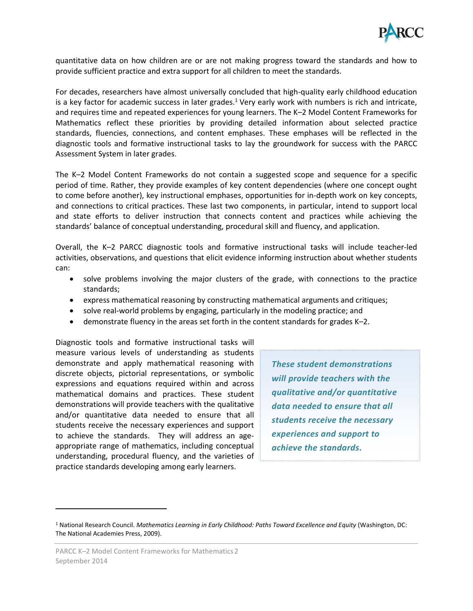

quantitative data on how children are or are not making progress toward the standards and how to provide sufficient practice and extra support for all children to meet the standards.

For decades, researchers have almost universally concluded that high-quality early childhood education is a key factor for academic success in later grades.<sup>1</sup> Very early work with numbers is rich and intricate, and requires time and repeated experiences for young learners. The K–2 Model Content Frameworks for Mathematics reflect these priorities by providing detailed information about selected practice standards, fluencies, connections, and content emphases. These emphases will be reflected in the diagnostic tools and formative instructional tasks to lay the groundwork for success with the PARCC Assessment System in later grades.

The K–2 Model Content Frameworks do not contain a suggested scope and sequence for a specific period of time. Rather, they provide examples of key content dependencies (where one concept ought to come before another), key instructional emphases, opportunities for in-depth work on key concepts, and connections to critical practices. These last two components, in particular, intend to support local and state efforts to deliver instruction that connects content and practices while achieving the standards' balance of conceptual understanding, procedural skill and fluency, and application.

Overall, the K–2 PARCC diagnostic tools and formative instructional tasks will include teacher-led activities, observations, and questions that elicit evidence informing instruction about whether students can:

- solve problems involving the major clusters of the grade, with connections to the practice standards;
- express mathematical reasoning by constructing mathematical arguments and critiques;
- solve real-world problems by engaging, particularly in the modeling practice; and
- demonstrate fluency in the areas set forth in the content standards for grades K–2.

Diagnostic tools and formative instructional tasks will measure various levels of understanding as students demonstrate and apply mathematical reasoning with discrete objects, pictorial representations, or symbolic expressions and equations required within and across mathematical domains and practices. These student demonstrations will provide teachers with the qualitative and/or quantitative data needed to ensure that all students receive the necessary experiences and support to achieve the standards. They will address an ageappropriate range of mathematics, including conceptual understanding, procedural fluency, and the varieties of practice standards developing among early learners.

*These student demonstrations will provide teachers with the qualitative and/or quantitative data needed to ensure that all students receive the necessary experiences and support to achieve the standards.* 

<sup>1</sup> National Research Council. *Mathematics Learning in Early Childhood: Paths Toward Excellence and Equity* (Washington, DC: The National Academies Press, 2009).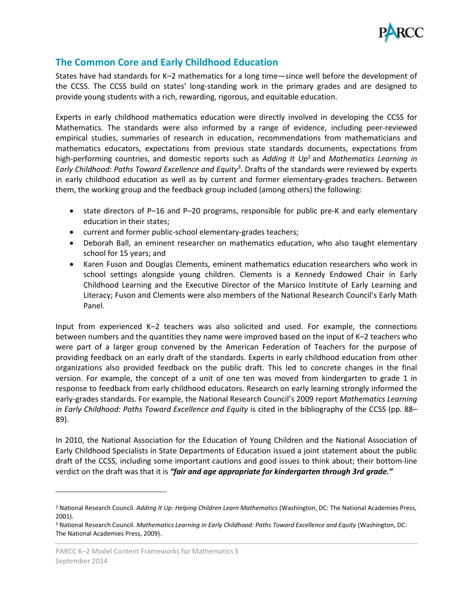

## <span id="page-6-0"></span>**The Common Core and Early Childhood Education**

States have had standards for K–2 mathematics for a long time—since well before the development of the CCSS. The CCSS build on states' long-standing work in the primary grades and are designed to provide young students with a rich, rewarding, rigorous, and equitable education.

Experts in early childhood mathematics education were directly involved in developing the CCSS for Mathematics. The standards were also informed by a range of evidence, including peer-reviewed empirical studies, summaries of research in education, recommendations from mathematicians and mathematics educators, expectations from previous state standards documents, expectations from high-performing countries, and domestic reports such as *Adding It Up* <sup>2</sup> and *Mathematics Learning in Early Childhood: Paths Toward Excellence and Equity* 3 . Drafts of the standards were reviewed by experts in early childhood education as well as by current and former elementary-grades teachers. Between them, the working group and the feedback group included (among others) the following:

- state directors of P-16 and P-20 programs, responsible for public pre-K and early elementary education in their states;
- current and former public-school elementary-grades teachers;
- Deborah Ball, an eminent researcher on mathematics education, who also [taught elementary](http://www-personal.umich.edu/~dball/background/)  [school for 15 years;](http://www-personal.umich.edu/~dball/background/) and
- Karen Fuson and Douglas Clements, eminent mathematics education researchers who work in school settings alongside young children. Clements is a Kennedy Endowed Chair in Early Childhood Learning and the Executive Director of the Marsico Institute of Early Learning and Literacy; Fuson and Clements were also members of the National Research Council's Early Math Panel.

Input from experienced K–2 teachers was also solicited and used. For example, the connections between numbers and the quantities they name were improved based on the input of K–2 teachers who were part of a larger group convened by the American Federation of Teachers for the purpose of providing feedback on an early draft of the standards. Experts in early childhood education from other organizations also provided feedback on the public draft. This led to concrete changes in the final version. For example, the concept of a unit of one ten was moved from kindergarten to grade 1 in response to feedback from early childhood educators. Research on early learning strongly informed the early-grades standards. For example, the National Research Council's 2009 report *Mathematics Learning in Early Childhood: Paths Toward Excellence and Equity* is cited in the bibliography of the CCSS (pp. 88– 89).

In 2010, the National Association for the Education of Young Children and the National Association of Early Childhood Specialists in State Departments of Education issued a joint statement about the public draft of the CCSS, including some important cautions and good issues to think about; their bottom-line verdict on the draft was that it is *"fair and age appropriate for kindergarten through 3rd grade."* 

 $\overline{\phantom{a}}$ 

<sup>2</sup> National Research Council. *Adding It Up: Helping Children Learn Mathematics* (Washington, DC: The National Academies Press, 2001).

<sup>3</sup> National Research Council. *Mathematics Learning in Early Childhood: Paths Toward Excellence and Equity* (Washington, DC: The National Academies Press, 2009).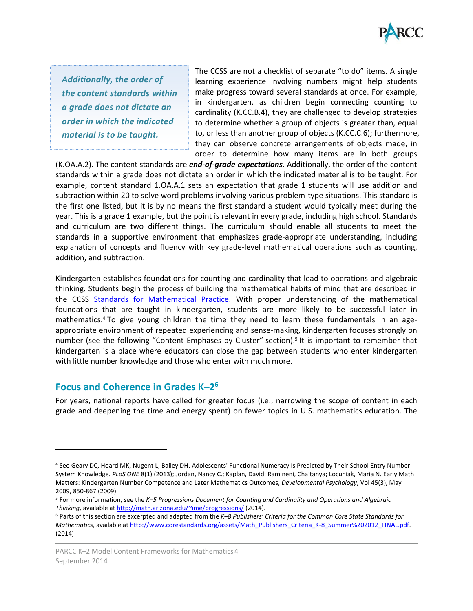

*Additionally, the order of the content standards within a grade does not dictate an order in which the indicated material is to be taught.* 

The CCSS are not a checklist of separate "to do" items. A single learning experience involving numbers might help students make progress toward several standards at once. For example, in kindergarten, as children begin connecting counting to cardinality (K.CC.B.4), they are challenged to develop strategies to determine whether a group of objects is greater than, equal to, or less than another group of objects (K.CC.C.6); furthermore, they can observe concrete arrangements of objects made, in order to determine how many items are in both groups

(K.OA.A.2). The content standards are *end-of-grade expectations*. Additionally, the order of the content standards within a grade does not dictate an order in which the indicated material is to be taught. For example, content standard 1.OA.A.1 sets an expectation that grade 1 students will use addition and subtraction within 20 to solve word problems involving various problem-type situations. This standard is the first one listed, but it is by no means the first standard a student would typically meet during the year. This is a grade 1 example, but the point is relevant in every grade, including high school. Standards and curriculum are two different things. The curriculum should enable all students to meet the standards in a supportive environment that emphasizes grade-appropriate understanding, including explanation of concepts and fluency with key grade-level mathematical operations such as counting, addition, and subtraction.

Kindergarten establishes foundations for counting and cardinality that lead to operations and algebraic thinking. Students begin the process of building the mathematical habits of mind that are described in the CCSS [Standards for Mathematical Practice.](http://www.corestandards.org/Math/Practice/) With proper understanding of the mathematical foundations that are taught in kindergarten, students are more likely to be successful later in mathematics. <sup>4</sup> To give young children the time they need to learn these fundamentals in an ageappropriate environment of repeated experiencing and sense-making, kindergarten focuses strongly on number (see the following "Content Emphases by Cluster" section).<sup>5</sup> It is important to remember that kindergarten is a place where educators can close the gap between students who enter kindergarten with little number knowledge and those who enter with much more.

## <span id="page-7-0"></span>**Focus and Coherence in Grades K–2 6**

 $\overline{\phantom{a}}$ 

For years, national reports have called for greater focus (i.e., narrowing the scope of content in each grade and deepening the time and energy spent) on fewer topics in U.S. mathematics education. The

<sup>4</sup> See Geary DC, Hoard MK, Nugent L, Bailey DH. Adolescents' Functional Numeracy Is Predicted by Their School Entry Number System Knowledge. *PLoS ONE* 8(1) (2013); Jordan, Nancy C.; Kaplan, David; Ramineni, Chaitanya; Locuniak, Maria N. Early Math Matters: Kindergarten Number Competence and Later Mathematics Outcomes, *Developmental Psychology*, Vol 45(3), May 2009, 850-867 (2009).

<sup>5</sup> For more information, see the *K–5 Progressions Document for Counting and Cardinality and Operations and Algebraic Thinking*, available a[t http://math.arizona.edu/~ime/progressions/](http://math.arizona.edu/~ime/progressions/) (2014).

<sup>6</sup> Parts of this section are excerpted and adapted from the *K–8 Publishers' Criteria for the Common Core State Standards for Mathematics*, available a[t http://www.corestandards.org/assets/Math\\_Publishers\\_Criteria\\_K-8\\_Summer%202012\\_FINAL.pdf.](http://www.corestandards.org/assets/Math_Publishers_Criteria_K-8_Summer%202012_FINAL.pdf) (2014)

PARCC K-2 Model Content Frameworks for Mathematics 4 September 2014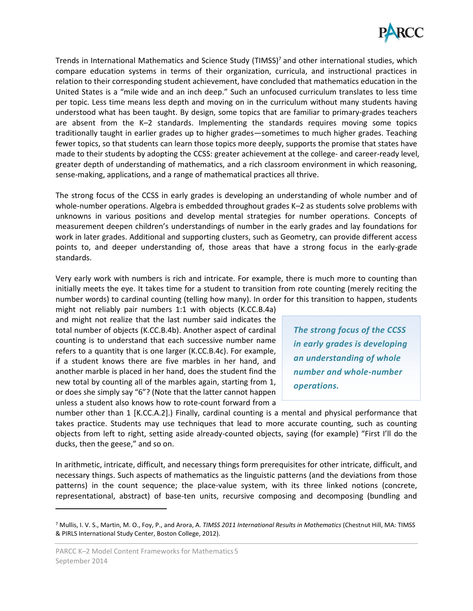

Trends in International Mathematics and Science Study (TIMSS)<sup>7</sup> and other international studies, which compare education systems in terms of their organization, curricula, and instructional practices in relation to their corresponding student achievement, have concluded that mathematics education in the United States is a "mile wide and an inch deep." Such an unfocused curriculum translates to less time per topic. Less time means less depth and moving on in the curriculum without many students having understood what has been taught. By design, some topics that are familiar to primary-grades teachers are absent from the K–2 standards. Implementing the standards requires moving some topics traditionally taught in earlier grades up to higher grades—sometimes to much higher grades. Teaching fewer topics, so that students can learn those topics more deeply, supports the promise that states have made to their students by adopting the CCSS: greater achievement at the college- and career-ready level, greater depth of understanding of mathematics, and a rich classroom environment in which reasoning, sense-making, applications, and a range of mathematical practices all thrive.

The strong focus of the CCSS in early grades is developing an understanding of whole number and of whole-number operations. Algebra is embedded throughout grades K–2 as students solve problems with unknowns in various positions and develop mental strategies for number operations. Concepts of measurement deepen children's understandings of number in the early grades and lay foundations for work in later grades. Additional and supporting clusters, such as Geometry, can provide different access points to, and deeper understanding of, those areas that have a strong focus in the early-grade standards.

Very early work with numbers is rich and intricate. For example, there is much more to counting than initially meets the eye. It takes time for a student to transition from rote counting (merely reciting the number words) to cardinal counting (telling how many). In order for this transition to happen, students

might not reliably pair numbers 1:1 with objects (K.CC.B.4a) and might not realize that the last number said indicates the total number of objects (K.CC.B.4b). Another aspect of cardinal counting is to understand that each successive number name refers to a quantity that is one larger (K.CC.B.4c). For example, if a student knows there are five marbles in her hand, and another marble is placed in her hand, does the student find the new total by counting all of the marbles again, starting from 1, or does she simply say "6"? (Note that the latter cannot happen unless a student also knows how to rote-count forward from a

*The strong focus of the CCSS in early grades is developing an understanding of whole number and whole-number operations.*

number other than 1 [K.CC.A.2].) Finally, cardinal counting is a mental and physical performance that takes practice. Students may use techniques that lead to more accurate counting, such as counting objects from left to right, setting aside already-counted objects, saying (for example) "First I'll do the ducks, then the geese," and so on.

In arithmetic, intricate, difficult, and necessary things form prerequisites for other intricate, difficult, and necessary things. Such aspects of mathematics as the linguistic patterns (and the deviations from those patterns) in the count sequence; the place-value system, with its three linked notions (concrete, representational, abstract) of base-ten units, recursive composing and decomposing (bundling and

<sup>7</sup> Mullis, I. V. S., Martin, M. O., Foy, P., and Arora, A. *TIMSS 2011 International Results in Mathematics* (Chestnut Hill, MA: TIMSS & PIRLS International Study Center, Boston College, 2012).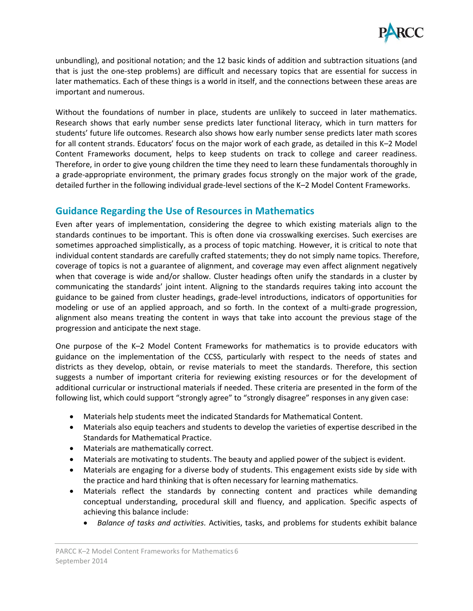

unbundling), and positional notation; and the 12 basic kinds of addition and subtraction situations (and that is just the one-step problems) are difficult and necessary topics that are essential for success in later mathematics. Each of these things is a world in itself, and the connections between these areas are important and numerous.

Without the foundations of number in place, students are unlikely to succeed in later mathematics. Research shows that early number sense predicts later functional literacy, which in turn matters for students' future life outcomes. Research also shows how early number sense predicts later math scores for all content strands. Educators' focus on the major work of each grade, as detailed in this K–2 Model Content Frameworks document, helps to keep students on track to college and career readiness. Therefore, in order to give young children the time they need to learn these fundamentals thoroughly in a grade-appropriate environment, the primary grades focus strongly on the major work of the grade, detailed further in the following individual grade-level sections of the K–2 Model Content Frameworks.

## <span id="page-9-0"></span>**Guidance Regarding the Use of Resources in Mathematics**

Even after years of implementation, considering the degree to which existing materials align to the standards continues to be important. This is often done via crosswalking exercises. Such exercises are sometimes approached simplistically, as a process of topic matching. However, it is critical to note that individual content standards are carefully crafted statements; they do not simply name topics. Therefore, coverage of topics is not a guarantee of alignment, and coverage may even affect alignment negatively when that coverage is wide and/or shallow. Cluster headings often unify the standards in a cluster by communicating the standards' joint intent. Aligning to the standards requires taking into account the guidance to be gained from cluster headings, grade-level introductions, indicators of opportunities for modeling or use of an applied approach, and so forth. In the context of a multi-grade progression, alignment also means treating the content in ways that take into account the previous stage of the progression and anticipate the next stage.

One purpose of the K–2 Model Content Frameworks for mathematics is to provide educators with guidance on the implementation of the CCSS, particularly with respect to the needs of states and districts as they develop, obtain, or revise materials to meet the standards. Therefore, this section suggests a number of important criteria for reviewing existing resources or for the development of additional curricular or instructional materials if needed. These criteria are presented in the form of the following list, which could support "strongly agree" to "strongly disagree" responses in any given case:

- Materials help students meet the indicated Standards for Mathematical Content.
- Materials also equip teachers and students to develop the varieties of expertise described in the Standards for Mathematical Practice.
- Materials are mathematically correct.
- Materials are motivating to students. The beauty and applied power of the subject is evident.
- Materials are engaging for a diverse body of students. This engagement exists side by side with the practice and hard thinking that is often necessary for learning mathematics.
- Materials reflect the standards by connecting content and practices while demanding conceptual understanding, procedural skill and fluency, and application. Specific aspects of achieving this balance include:
	- *Balance of tasks and activities.* Activities, tasks, and problems for students exhibit balance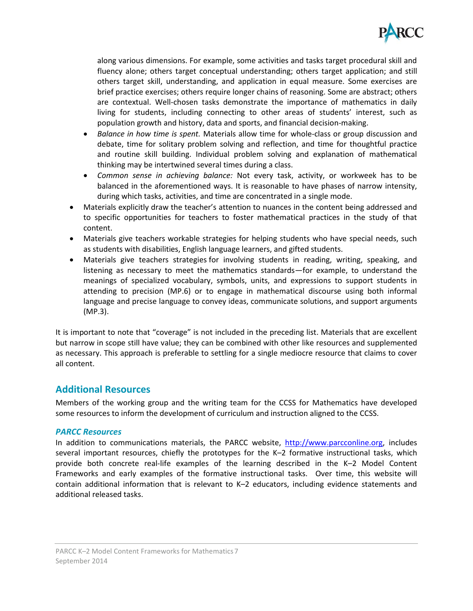

along various dimensions. For example, some activities and tasks target procedural skill and fluency alone; others target conceptual understanding; others target application; and still others target skill, understanding, and application in equal measure. Some exercises are brief practice exercises; others require longer chains of reasoning. Some are abstract; others are contextual. Well-chosen tasks demonstrate the importance of mathematics in daily living for students, including connecting to other areas of students' interest, such as population growth and history, data and sports, and financial decision-making.

- *Balance in how time is spent.* Materials allow time for whole-class or group discussion and debate, time for solitary problem solving and reflection, and time for thoughtful practice and routine skill building. Individual problem solving and explanation of mathematical thinking may be intertwined several times during a class.
- *Common sense in achieving balance:* Not every task, activity, or workweek has to be balanced in the aforementioned ways. It is reasonable to have phases of narrow intensity, during which tasks, activities, and time are concentrated in a single mode.
- Materials explicitly draw the teacher's attention to nuances in the content being addressed and to specific opportunities for teachers to foster mathematical practices in the study of that content.
- Materials give teachers workable strategies for helping students who have special needs, such as students with disabilities, English language learners, and gifted students.
- Materials give teachers strategies for involving students in reading, writing, speaking, and listening as necessary to meet the mathematics standards—for example, to understand the meanings of specialized vocabulary, symbols, units, and expressions to support students in attending to precision (MP.6) or to engage in mathematical discourse using both informal language and precise language to convey ideas, communicate solutions, and support arguments (MP.3).

It is important to note that "coverage" is not included in the preceding list. Materials that are excellent but narrow in scope still have value; they can be combined with other like resources and supplemented as necessary. This approach is preferable to settling for a single mediocre resource that claims to cover all content.

## <span id="page-10-0"></span>**Additional Resources**

Members of the working group and the writing team for the CCSS for Mathematics have developed some resources to inform the development of curriculum and instruction aligned to the CCSS.

#### <span id="page-10-1"></span>*PARCC Resources*

In addition to communications materials, the PARCC website, [http://www.parcconline.org,](http://www.parcconline.org/) includes several important resources, chiefly the prototypes for the K–2 formative instructional tasks, which provide both concrete real-life examples of the learning described in the K–2 Model Content Frameworks and early examples of the formative instructional tasks. Over time, this website will contain additional information that is relevant to K–2 educators, including evidence statements and additional released tasks.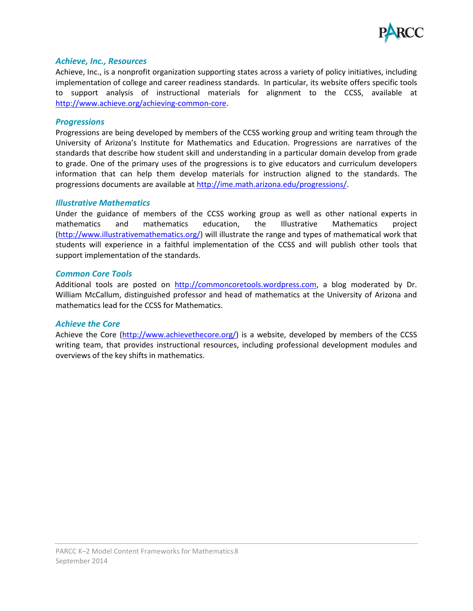

#### <span id="page-11-0"></span>*Achieve, Inc., Resources*

Achieve, Inc., is a nonprofit organization supporting states across a variety of policy initiatives, including implementation of college and career readiness standards. In particular, its website offers specific tools to support analysis of instructional materials for alignment to the CCSS, available at [http://www.achieve.org/achieving-common-core.](http://www.achieve.org/achieving-common-core)

#### <span id="page-11-1"></span>*Progressions*

Progressions are being developed by members of the CCSS working group and writing team through the University of Arizona's Institute for Mathematics and Education. Progressions are narratives of the standards that describe how student skill and understanding in a particular domain develop from grade to grade. One of the primary uses of the progressions is to give educators and curriculum developers information that can help them develop materials for instruction aligned to the standards. The progressions documents are available a[t http://ime.math.arizona.edu/progressions/.](http://ime.math.arizona.edu/progressions/)

#### <span id="page-11-2"></span>*Illustrative Mathematics*

Under the guidance of members of the CCSS working group as well as other national experts in mathematics and mathematics education, the Illustrative Mathematics project [\(http://www.illustrativemathematics.org/\)](http://www.illustrativemathematics.org/) will illustrate the range and types of mathematical work that students will experience in a faithful implementation of the CCSS and will publish other tools that support implementation of the standards.

#### <span id="page-11-3"></span>*Common Core Tools*

Additional tools are posted on [http://commoncoretools.wordpress.com,](http://commoncoretools.wordpress.com/) a blog moderated by Dr. William McCallum, distinguished professor and head of mathematics at the University of Arizona and mathematics lead for the CCSS for Mathematics.

#### <span id="page-11-4"></span>*Achieve the Core*

Achieve the Core [\(http://www.achievethecore.org/\)](http://www.achievethecore.org/) is a website, developed by members of the CCSS writing team, that provides instructional resources, including professional development modules and overviews of the key shifts in mathematics.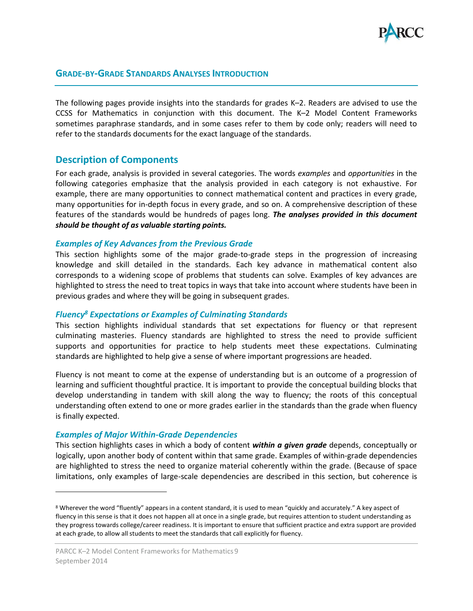

#### <span id="page-12-0"></span>**GRADE-BY-GRADE STANDARDS ANALYSES INTRODUCTION**

The following pages provide insights into the standards for grades K–2. Readers are advised to use the CCSS for Mathematics in conjunction with this document. The K–2 Model Content Frameworks sometimes paraphrase standards, and in some cases refer to them by code only; readers will need to refer to the standards documents for the exact language of the standards.

#### <span id="page-12-1"></span>**Description of Components**

For each grade, analysis is provided in several categories. The words *examples* and *opportunities* in the following categories emphasize that the analysis provided in each category is not exhaustive. For example, there are many opportunities to connect mathematical content and practices in every grade, many opportunities for in-depth focus in every grade, and so on. A comprehensive description of these features of the standards would be hundreds of pages long. *The analyses provided in this document should be thought of as valuable starting points.*

#### <span id="page-12-2"></span>*Examples of Key Advances from the Previous Grade*

This section highlights some of the major grade-to-grade steps in the progression of increasing knowledge and skill detailed in the standards. Each key advance in mathematical content also corresponds to a widening scope of problems that students can solve. Examples of key advances are highlighted to stress the need to treat topics in ways that take into account where students have been in previous grades and where they will be going in subsequent grades.

#### <span id="page-12-3"></span>*Fluency<sup>8</sup> Expectations or Examples of Culminating Standards*

This section highlights individual standards that set expectations for fluency or that represent culminating masteries. Fluency standards are highlighted to stress the need to provide sufficient supports and opportunities for practice to help students meet these expectations. Culminating standards are highlighted to help give a sense of where important progressions are headed.

Fluency is not meant to come at the expense of understanding but is an outcome of a progression of learning and sufficient thoughtful practice. It is important to provide the conceptual building blocks that develop understanding in tandem with skill along the way to fluency; the roots of this conceptual understanding often extend to one or more grades earlier in the standards than the grade when fluency is finally expected.

#### <span id="page-12-4"></span>*Examples of Major Within-Grade Dependencies*

 $\overline{\phantom{a}}$ 

This section highlights cases in which a body of content *within a given grade* depends, conceptually or logically, upon another body of content within that same grade. Examples of within-grade dependencies are highlighted to stress the need to organize material coherently within the grade. (Because of space limitations, only examples of large-scale dependencies are described in this section, but coherence is

<sup>8</sup> Wherever the word "fluently" appears in a content standard, it is used to mean "quickly and accurately." A key aspect of fluency in this sense is that it does not happen all at once in a single grade, but requires attention to student understanding as they progress towards college/career readiness. It is important to ensure that sufficient practice and extra support are provided at each grade, to allow all students to meet the standards that call explicitly for fluency.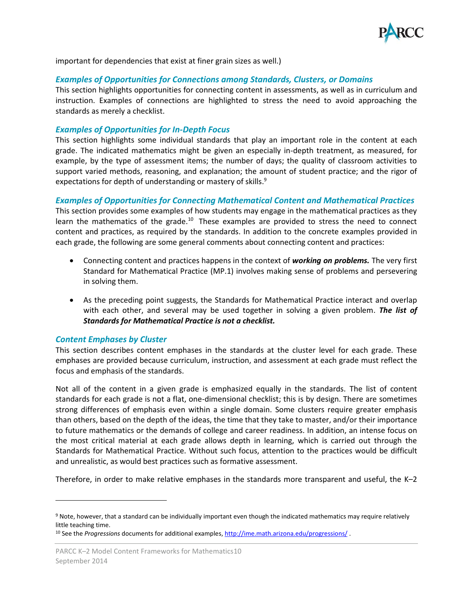

important for dependencies that exist at finer grain sizes as well.)

#### <span id="page-13-0"></span>*Examples of Opportunities for Connections among Standards, Clusters, or Domains*

This section highlights opportunities for connecting content in assessments, as well as in curriculum and instruction. Examples of connections are highlighted to stress the need to avoid approaching the standards as merely a checklist.

#### <span id="page-13-1"></span>*Examples of Opportunities for In-Depth Focus*

This section highlights some individual standards that play an important role in the content at each grade. The indicated mathematics might be given an especially in-depth treatment, as measured, for example, by the type of assessment items; the number of days; the quality of classroom activities to support varied methods, reasoning, and explanation; the amount of student practice; and the rigor of expectations for depth of understanding or mastery of skills.<sup>9</sup>

#### <span id="page-13-2"></span>*Examples of Opportunities for Connecting Mathematical Content and Mathematical Practices*

This section provides some examples of how students may engage in the mathematical practices as they learn the mathematics of the grade.<sup>10</sup> These examples are provided to stress the need to connect content and practices, as required by the standards. In addition to the concrete examples provided in each grade, the following are some general comments about connecting content and practices:

- Connecting content and practices happens in the context of *working on problems.* The very first Standard for Mathematical Practice (MP.1) involves making sense of problems and persevering in solving them.
- As the preceding point suggests, the Standards for Mathematical Practice interact and overlap with each other, and several may be used together in solving a given problem. *The list of Standards for Mathematical Practice is not a checklist.*

#### <span id="page-13-3"></span>*Content Emphases by Cluster*

l

This section describes content emphases in the standards at the cluster level for each grade. These emphases are provided because curriculum, instruction, and assessment at each grade must reflect the focus and emphasis of the standards.

Not all of the content in a given grade is emphasized equally in the standards. The list of content standards for each grade is not a flat, one-dimensional checklist; this is by design. There are sometimes strong differences of emphasis even within a single domain. Some clusters require greater emphasis than others, based on the depth of the ideas, the time that they take to master, and/or their importance to future mathematics or the demands of college and career readiness. In addition, an intense focus on the most critical material at each grade allows depth in learning, which is carried out through the Standards for Mathematical Practice. Without such focus, attention to the practices would be difficult and unrealistic, as would best practices such as formative assessment.

Therefore, in order to make relative emphases in the standards more transparent and useful, the K–2

<sup>&</sup>lt;sup>9</sup> Note, however, that a standard can be individually important even though the indicated mathematics may require relatively little teaching time.

<sup>10</sup> See the *Progressions* documents for additional examples, <http://ime.math.arizona.edu/progressions/> .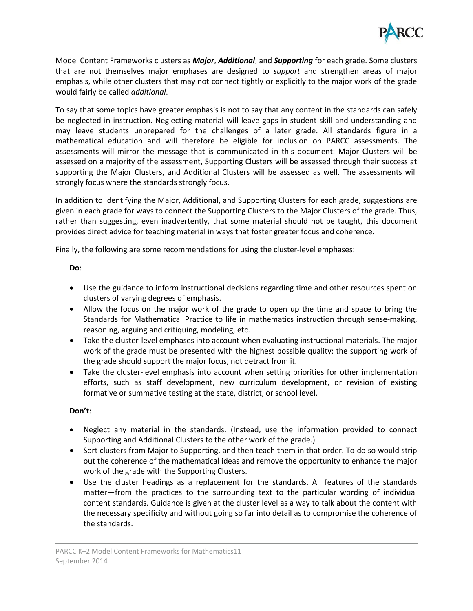

Model Content Frameworks clusters as *Major*, *Additional*, and *Supporting* for each grade. Some clusters that are not themselves major emphases are designed to *support* and strengthen areas of major emphasis, while other clusters that may not connect tightly or explicitly to the major work of the grade would fairly be called *additional*.

To say that some topics have greater emphasis is not to say that any content in the standards can safely be neglected in instruction. Neglecting material will leave gaps in student skill and understanding and may leave students unprepared for the challenges of a later grade. All standards figure in a mathematical education and will therefore be eligible for inclusion on PARCC assessments. The assessments will mirror the message that is communicated in this document: Major Clusters will be assessed on a majority of the assessment, Supporting Clusters will be assessed through their success at supporting the Major Clusters, and Additional Clusters will be assessed as well. The assessments will strongly focus where the standards strongly focus.

In addition to identifying the Major, Additional, and Supporting Clusters for each grade, suggestions are given in each grade for ways to connect the Supporting Clusters to the Major Clusters of the grade. Thus, rather than suggesting, even inadvertently, that some material should not be taught, this document provides direct advice for teaching material in ways that foster greater focus and coherence.

Finally, the following are some recommendations for using the cluster-level emphases:

#### **Do**:

- Use the guidance to inform instructional decisions regarding time and other resources spent on clusters of varying degrees of emphasis.
- Allow the focus on the major work of the grade to open up the time and space to bring the Standards for Mathematical Practice to life in mathematics instruction through sense-making, reasoning, arguing and critiquing, modeling, etc.
- Take the cluster-level emphases into account when evaluating instructional materials. The major work of the grade must be presented with the highest possible quality; the supporting work of the grade should support the major focus, not detract from it.
- Take the cluster-level emphasis into account when setting priorities for other implementation efforts, such as staff development, new curriculum development, or revision of existing formative or summative testing at the state, district, or school level.

#### **Don't**:

- Neglect any material in the standards. (Instead, use the information provided to connect Supporting and Additional Clusters to the other work of the grade.)
- Sort clusters from Major to Supporting, and then teach them in that order. To do so would strip out the coherence of the mathematical ideas and remove the opportunity to enhance the major work of the grade with the Supporting Clusters.
- Use the cluster headings as a replacement for the standards. All features of the standards matter—from the practices to the surrounding text to the particular wording of individual content standards. Guidance is given at the cluster level as a way to talk about the content with the necessary specificity and without going so far into detail as to compromise the coherence of the standards.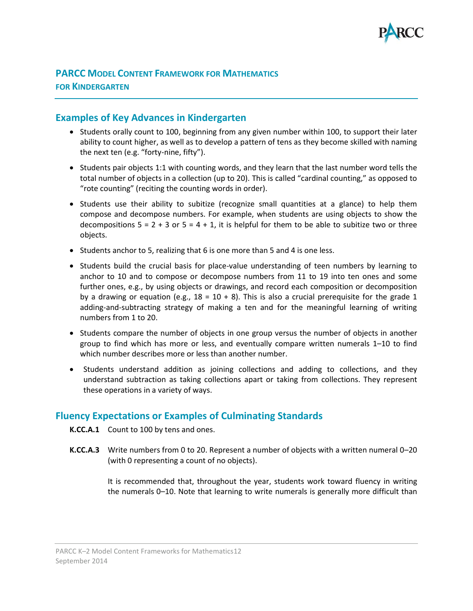

## <span id="page-15-0"></span>**PARCC MODEL CONTENT FRAMEWORK FOR MATHEMATICS FOR KINDERGARTEN**

## <span id="page-15-1"></span>**Examples of Key Advances in Kindergarten**

- Students orally count to 100, beginning from any given number within 100, to support their later ability to count higher, as well as to develop a pattern of tens as they become skilled with naming the next ten (e.g. "forty-nine, fifty").
- Students pair objects 1:1 with counting words, and they learn that the last number word tells the total number of objects in a collection (up to 20). This is called "cardinal counting," as opposed to "rote counting" (reciting the counting words in order).
- Students use their ability to subitize (recognize small quantities at a glance) to help them compose and decompose numbers. For example, when students are using objects to show the decompositions  $5 = 2 + 3$  or  $5 = 4 + 1$ , it is helpful for them to be able to subitize two or three objects.
- Students anchor to 5, realizing that 6 is one more than 5 and 4 is one less.
- Students build the crucial basis for place-value understanding of teen numbers by learning to anchor to 10 and to compose or decompose numbers from 11 to 19 into ten ones and some further ones, e.g., by using objects or drawings, and record each composition or decomposition by a drawing or equation (e.g.,  $18 = 10 + 8$ ). This is also a crucial prerequisite for the grade 1 adding-and-subtracting strategy of making a ten and for the meaningful learning of writing numbers from 1 to 20.
- Students compare the number of objects in one group versus the number of objects in another group to find which has more or less, and eventually compare written numerals 1–10 to find which number describes more or less than another number.
- Students understand addition as joining collections and adding to collections, and they understand subtraction as taking collections apart or taking from collections. They represent these operations in a variety of ways.

## <span id="page-15-2"></span>**Fluency Expectations or Examples of Culminating Standards**

- **K.CC.A.1** Count to 100 by tens and ones.
- **K.CC.A.3** Write numbers from 0 to 20. Represent a number of objects with a written numeral 0–20 (with 0 representing a count of no objects).

It is recommended that, throughout the year, students work toward fluency in writing the numerals 0–10. Note that learning to write numerals is generally more difficult than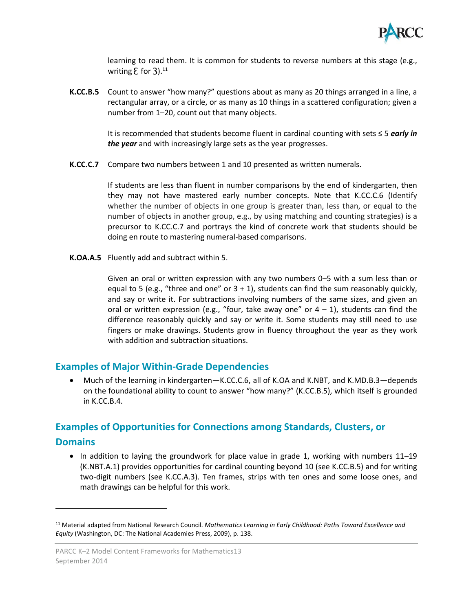

learning to read them. It is common for students to reverse numbers at this stage (e.g., writing  $E$  for 3). $^{11}$ 

**K.CC.B.5** Count to answer "how many?" questions about as many as 20 things arranged in a line, a rectangular array, or a circle, or as many as 10 things in a scattered configuration; given a number from 1–20, count out that many objects.

> It is recommended that students become fluent in cardinal counting with sets ≤ 5 *early in the year* and with increasingly large sets as the year progresses.

**K.CC.C.7** Compare two numbers between 1 and 10 presented as written numerals.

If students are less than fluent in number comparisons by the end of kindergarten, then they may not have mastered early number concepts. Note that K.CC.C.6 (Identify whether the number of objects in one group is greater than, less than, or equal to the number of objects in another group, e.g., by using matching and counting strategies) is a precursor to K.CC.C.7 and portrays the kind of concrete work that students should be doing en route to mastering numeral-based comparisons.

**K.OA.A.5** Fluently add and subtract within 5.

Given an oral or written expression with any two numbers 0–5 with a sum less than or equal to 5 (e.g., "three and one" or  $3 + 1$ ), students can find the sum reasonably quickly, and say or write it. For subtractions involving numbers of the same sizes, and given an oral or written expression (e.g., "four, take away one" or  $4 - 1$ ), students can find the difference reasonably quickly and say or write it. Some students may still need to use fingers or make drawings. Students grow in fluency throughout the year as they work with addition and subtraction situations.

## <span id="page-16-0"></span>**Examples of Major Within-Grade Dependencies**

 Much of the learning in kindergarten—K.CC.C.6, all of K.OA and K.NBT, and K.MD.B.3—depends on the foundational ability to count to answer "how many?" (K.CC.B.5), which itself is grounded in K.CC.B.4.

## <span id="page-16-1"></span>**Examples of Opportunities for Connections among Standards, Clusters, or**

#### **Domains**

l

• In addition to laying the groundwork for place value in grade 1, working with numbers 11–19 (K.NBT.A.1) provides opportunities for cardinal counting beyond 10 (see K.CC.B.5) and for writing two-digit numbers (see K.CC.A.3). Ten frames, strips with ten ones and some loose ones, and math drawings can be helpful for this work.

<sup>11</sup> Material adapted from National Research Council. *Mathematics Learning in Early Childhood: Paths Toward Excellence and Equity* (Washington, DC: The National Academies Press, 2009), p. 138.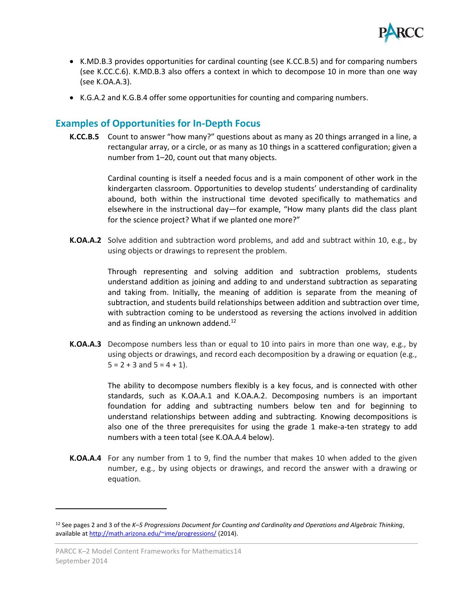

- K.MD.B.3 provides opportunities for cardinal counting (see K.CC.B.5) and for comparing numbers (see K.CC.C.6). K.MD.B.3 also offers a context in which to decompose 10 in more than one way (see K.OA.A.3).
- K.G.A.2 and K.G.B.4 offer some opportunities for counting and comparing numbers.

## <span id="page-17-0"></span>**Examples of Opportunities for In-Depth Focus**

**K.CC.B.5** Count to answer "how many?" questions about as many as 20 things arranged in a line, a rectangular array, or a circle, or as many as 10 things in a scattered configuration; given a number from 1–20, count out that many objects.

> Cardinal counting is itself a needed focus and is a main component of other work in the kindergarten classroom. Opportunities to develop students' understanding of cardinality abound, both within the instructional time devoted specifically to mathematics and elsewhere in the instructional day—for example, "How many plants did the class plant for the science project? What if we planted one more?"

**K.OA.A.2** Solve addition and subtraction word problems, and add and subtract within 10, e.g., by using objects or drawings to represent the problem.

> Through representing and solving addition and subtraction problems, students understand addition as joining and adding to and understand subtraction as separating and taking from. Initially, the meaning of addition is separate from the meaning of subtraction, and students build relationships between addition and subtraction over time, with subtraction coming to be understood as reversing the actions involved in addition and as finding an unknown addend.<sup>12</sup>

**K.OA.A.3** Decompose numbers less than or equal to 10 into pairs in more than one way, e.g., by using objects or drawings, and record each decomposition by a drawing or equation (e.g.,  $5 = 2 + 3$  and  $5 = 4 + 1$ ).

> The ability to decompose numbers flexibly is a key focus, and is connected with other standards, such as K.OA.A.1 and K.OA.A.2. Decomposing numbers is an important foundation for adding and subtracting numbers below ten and for beginning to understand relationships between adding and subtracting. Knowing decompositions is also one of the three prerequisites for using the grade 1 make-a-ten strategy to add numbers with a teen total (see K.OA.A.4 below).

**K.OA.A.4** For any number from 1 to 9, find the number that makes 10 when added to the given number, e.g., by using objects or drawings, and record the answer with a drawing or equation.

<sup>12</sup> See pages 2 and 3 of the *K–5 Progressions Document for Counting and Cardinality and Operations and Algebraic Thinking*, available at<http://math.arizona.edu/~ime/progressions/> (2014).

PARCC K–2 Model Content Frameworks for Mathematics14 September 2014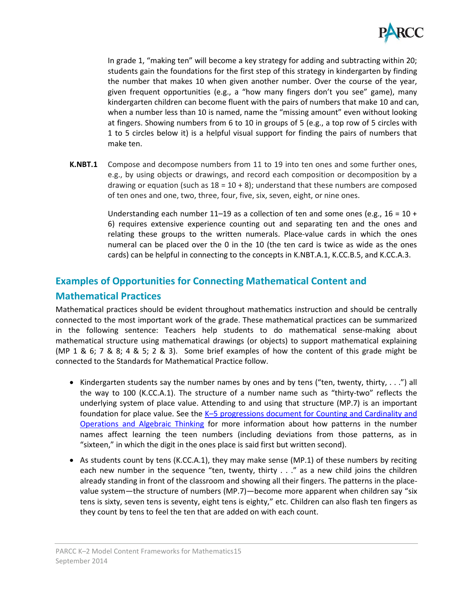

In grade 1, "making ten" will become a key strategy for adding and subtracting within 20; students gain the foundations for the first step of this strategy in kindergarten by finding the number that makes 10 when given another number. Over the course of the year, given frequent opportunities (e.g., a "how many fingers don't you see" game), many kindergarten children can become fluent with the pairs of numbers that make 10 and can, when a number less than 10 is named, name the "missing amount" even without looking at fingers. Showing numbers from 6 to 10 in groups of 5 (e.g., a top row of 5 circles with 1 to 5 circles below it) is a helpful visual support for finding the pairs of numbers that make ten.

**K.NBT.1** Compose and decompose numbers from 11 to 19 into ten ones and some further ones, e.g., by using objects or drawings, and record each composition or decomposition by a drawing or equation (such as  $18 = 10 + 8$ ); understand that these numbers are composed of ten ones and one, two, three, four, five, six, seven, eight, or nine ones.

> Understanding each number 11–19 as a collection of ten and some ones (e.g., 16 = 10 + 6) requires extensive experience counting out and separating ten and the ones and relating these groups to the written numerals. Place-value cards in which the ones numeral can be placed over the 0 in the 10 (the ten card is twice as wide as the ones cards) can be helpful in connecting to the concepts in K.NBT.A.1, K.CC.B.5, and K.CC.A.3.

## <span id="page-18-0"></span>**Examples of Opportunities for Connecting Mathematical Content and**

## **Mathematical Practices**

Mathematical practices should be evident throughout mathematics instruction and should be centrally connected to the most important work of the grade. These mathematical practices can be summarized in the following sentence: Teachers help students to do mathematical sense-making about mathematical structure using mathematical drawings (or objects) to support mathematical explaining (MP 1 & 6; 7 & 8; 4 & 5; 2 & 3). Some brief examples of how the content of this grade might be connected to the Standards for Mathematical Practice follow.

- Kindergarten students say the number names by ones and by tens ("ten, twenty, thirty,  $\dots$ ") all the way to 100 (K.CC.A.1). The structure of a number name such as "thirty-two" reflects the underlying system of place value. Attending to and using that structure (MP.7) is an important foundation for place value. See the K-5 progressions [document for Counting and Cardinality](http://ime.math.arizona.edu/progressions/) and [Operations and Algebraic Thinking](http://ime.math.arizona.edu/progressions/) for more information about how patterns in the number names affect learning the teen numbers (including deviations from those patterns, as in "sixteen," in which the digit in the ones place is said first but written second).
- As students count by tens (K.CC.A.1), they may make sense (MP.1) of these numbers by reciting each new number in the sequence "ten, twenty, thirty . . ." as a new child joins the children already standing in front of the classroom and showing all their fingers. The patterns in the placevalue system—the structure of numbers (MP.7)—become more apparent when children say "six tens is sixty, seven tens is seventy, eight tens is eighty," etc. Children can also flash ten fingers as they count by tens to feel the ten that are added on with each count.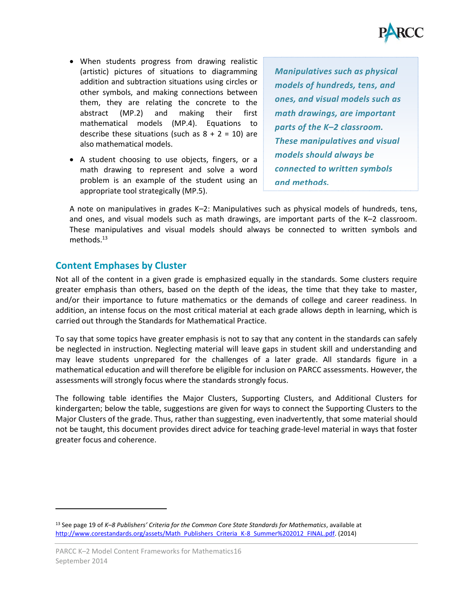

- When students progress from drawing realistic (artistic) pictures of situations to diagramming addition and subtraction situations using circles or other symbols, and making connections between them, they are relating the concrete to the abstract (MP.2) and making their first mathematical models (MP.4). Equations to describe these situations (such as  $8 + 2 = 10$ ) are also mathematical models.
- A student choosing to use objects, fingers, or a math drawing to represent and solve a word problem is an example of the student using an appropriate tool strategically (MP.5).

*Manipulatives such as physical models of hundreds, tens, and ones, and visual models such as math drawings, are important parts of the K–2 classroom. These manipulatives and visual models should always be connected to written symbols and methods.* 

A note on manipulatives in grades K–2: Manipulatives such as physical models of hundreds, tens, and ones, and visual models such as math drawings, are important parts of the K–2 classroom. These manipulatives and visual models should always be connected to written symbols and methods.<sup>13</sup>

## <span id="page-19-0"></span>**Content Emphases by Cluster**

Not all of the content in a given grade is emphasized equally in the standards. Some clusters require greater emphasis than others, based on the depth of the ideas, the time that they take to master, and/or their importance to future mathematics or the demands of college and career readiness. In addition, an intense focus on the most critical material at each grade allows depth in learning, which is carried out through the Standards for Mathematical Practice.

To say that some topics have greater emphasis is not to say that any content in the standards can safely be neglected in instruction. Neglecting material will leave gaps in student skill and understanding and may leave students unprepared for the challenges of a later grade. All standards figure in a mathematical education and will therefore be eligible for inclusion on PARCC assessments. However, the assessments will strongly focus where the standards strongly focus.

The following table identifies the Major Clusters, Supporting Clusters, and Additional Clusters for kindergarten; below the table, suggestions are given for ways to connect the Supporting Clusters to the Major Clusters of the grade. Thus, rather than suggesting, even inadvertently, that some material should not be taught, this document provides direct advice for teaching grade-level material in ways that foster greater focus and coherence.

<sup>13</sup> See page 19 of *K–8 Publishers' Criteria for the Common Core State Standards for Mathematics*, available at [http://www.corestandards.org/assets/Math\\_Publishers\\_Criteria\\_K-8\\_Summer%202012\\_FINAL.pdf.](http://www.corestandards.org/assets/Math_Publishers_Criteria_K-8_Summer%202012_FINAL.pdf) (2014)

PARCC K–2 Model Content Frameworks for Mathematics16 September 2014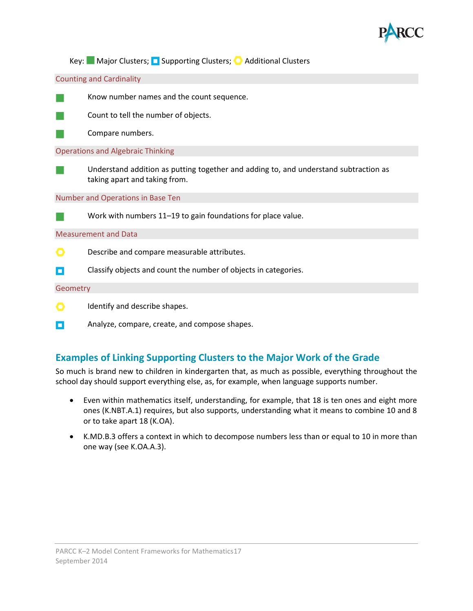

Key: Major Clusters; **N** Supporting Clusters; **O** Additional Clusters

Counting and Cardinality



Know number names and the count sequence.



Count to tell the number of objects.

Compare numbers.

Operations and Algebraic Thinking

Understand addition as putting together and adding to, and understand subtraction as taking apart and taking from.

Number and Operations in Base Ten



п

Work with numbers 11–19 to gain foundations for place value.

Measurement and Data

O Describe and compare measurable attributes.

Classify objects and count the number of objects in categories.

#### **Geometry**

- O. Identify and describe shapes.
- П Analyze, compare, create, and compose shapes.

## <span id="page-20-0"></span>**Examples of Linking Supporting Clusters to the Major Work of the Grade**

So much is brand new to children in kindergarten that, as much as possible, everything throughout the school day should support everything else, as, for example, when language supports number.

- Even within mathematics itself, understanding, for example, that 18 is ten ones and eight more ones (K.NBT.A.1) requires, but also supports, understanding what it means to combine 10 and 8 or to take apart 18 (K.OA).
- K.MD.B.3 offers a context in which to decompose numbers less than or equal to 10 in more than one way (see K.OA.A.3).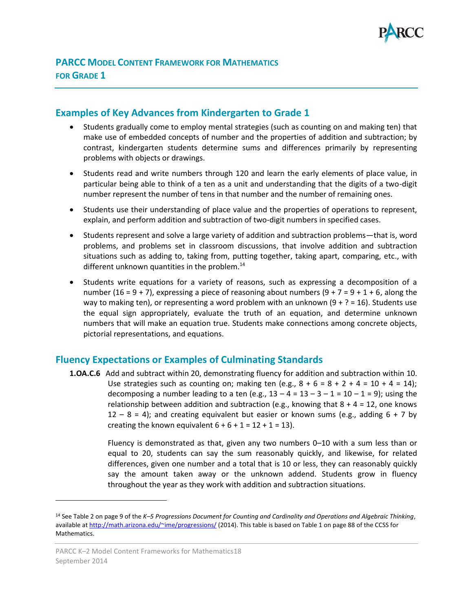

## <span id="page-21-1"></span><span id="page-21-0"></span>**Examples of Key Advances from Kindergarten to Grade 1**

- Students gradually come to employ mental strategies (such as counting on and making ten) that make use of embedded concepts of number and the properties of addition and subtraction; by contrast, kindergarten students determine sums and differences primarily by representing problems with objects or drawings.
- Students read and write numbers through 120 and learn the early elements of place value, in particular being able to think of a ten as a unit and understanding that the digits of a two-digit number represent the number of tens in that number and the number of remaining ones.
- Students use their understanding of place value and the properties of operations to represent, explain, and perform addition and subtraction of two-digit numbers in specified cases.
- Students represent and solve a large variety of addition and subtraction problems—that is, word problems, and problems set in classroom discussions, that involve addition and subtraction situations such as adding to, taking from, putting together, taking apart, comparing, etc., with different unknown quantities in the problem.<sup>14</sup>
- Students write equations for a variety of reasons, such as expressing a decomposition of a number (16 = 9 + 7), expressing a piece of reasoning about numbers (9 + 7 = 9 + 1 + 6, along the way to making ten), or representing a word problem with an unknown  $(9 + ? = 16)$ . Students use the equal sign appropriately, evaluate the truth of an equation, and determine unknown numbers that will make an equation true. Students make connections among concrete objects, pictorial representations, and equations.

## <span id="page-21-2"></span>**Fluency Expectations or Examples of Culminating Standards**

**1.OA.C.6** Add and subtract within 20, demonstrating fluency for addition and subtraction within 10. Use strategies such as counting on; making ten (e.g.,  $8 + 6 = 8 + 2 + 4 = 10 + 4 = 14$ ); decomposing a number leading to a ten (e.g.,  $13 - 4 = 13 - 3 - 1 = 10 - 1 = 9$ ); using the relationship between addition and subtraction (e.g., knowing that  $8 + 4 = 12$ , one knows  $12 - 8 = 4$ ); and creating equivalent but easier or known sums (e.g., adding 6 + 7 by creating the known equivalent  $6 + 6 + 1 = 12 + 1 = 13$ ).

> Fluency is demonstrated as that, given any two numbers 0–10 with a sum less than or equal to 20, students can say the sum reasonably quickly, and likewise, for related differences, given one number and a total that is 10 or less, they can reasonably quickly say the amount taken away or the unknown addend. Students grow in fluency throughout the year as they work with addition and subtraction situations.

<sup>14</sup> See Table 2 on page 9 of the *K–5 Progressions Document for Counting and Cardinality and Operations and Algebraic Thinking*, available at<http://math.arizona.edu/~ime/progressions/> (2014). This table is based on Table 1 on page 88 of the CCSS for Mathematics.

PARCC K–2 Model Content Frameworks for Mathematics18 September 2014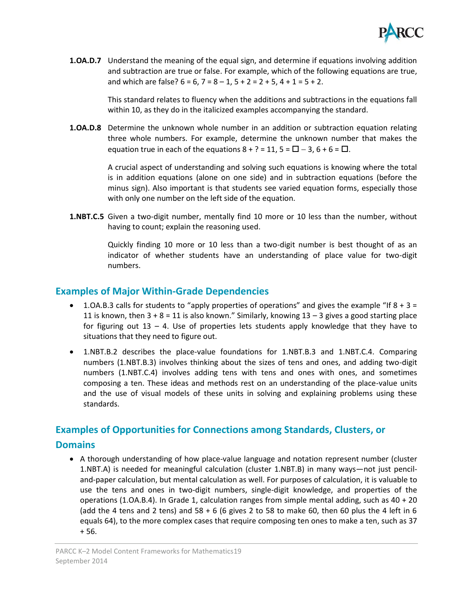

**1.OA.D.7** Understand the meaning of the equal sign, and determine if equations involving addition and subtraction are true or false. For example, which of the following equations are true, and which are false?  $6 = 6$ ,  $7 = 8 - 1$ ,  $5 + 2 = 2 + 5$ ,  $4 + 1 = 5 + 2$ .

> This standard relates to fluency when the additions and subtractions in the equations fall within 10, as they do in the italicized examples accompanying the standard.

**1.OA.D.8** Determine the unknown whole number in an addition or subtraction equation relating three whole numbers. For example, determine the unknown number that makes the equation true in each of the equations  $8 + ? = 11$ ,  $5 = \square - 3$ ,  $6 + 6 = \square$ .

> A crucial aspect of understanding and solving such equations is knowing where the total is in addition equations (alone on one side) and in subtraction equations (before the minus sign). Also important is that students see varied equation forms, especially those with only one number on the left side of the equation.

**1.NBT.C.5** Given a two-digit number, mentally find 10 more or 10 less than the number, without having to count; explain the reasoning used.

> Quickly finding 10 more or 10 less than a two-digit number is best thought of as an indicator of whether students have an understanding of place value for two-digit numbers.

## <span id="page-22-0"></span>**Examples of Major Within-Grade Dependencies**

- 1.OA.B.3 calls for students to "apply properties of operations" and gives the example "If  $8 + 3 =$ 11 is known, then  $3 + 8 = 11$  is also known." Similarly, knowing  $13 - 3$  gives a good starting place for figuring out  $13 - 4$ . Use of properties lets students apply knowledge that they have to situations that they need to figure out.
- 1.NBT.B.2 describes the place-value foundations for 1.NBT.B.3 and 1.NBT.C.4. Comparing numbers (1.NBT.B.3) involves thinking about the sizes of tens and ones, and adding two-digit numbers (1.NBT.C.4) involves adding tens with tens and ones with ones, and sometimes composing a ten. These ideas and methods rest on an understanding of the place-value units and the use of visual models of these units in solving and explaining problems using these standards.

## <span id="page-22-1"></span>**Examples of Opportunities for Connections among Standards, Clusters, or**

## **Domains**

• A thorough understanding of how place-value language and notation represent number (cluster 1.NBT.A) is needed for meaningful calculation (cluster 1.NBT.B) in many ways—not just penciland-paper calculation, but mental calculation as well. For purposes of calculation, it is valuable to use the tens and ones in two-digit numbers, single-digit knowledge, and properties of the operations (1.OA.B.4). In Grade 1, calculation ranges from simple mental adding, such as 40 + 20 (add the 4 tens and 2 tens) and  $58 + 6$  (6 gives 2 to 58 to make 60, then 60 plus the 4 left in 6 equals 64), to the more complex cases that require composing ten ones to make a ten, such as 37 + 56.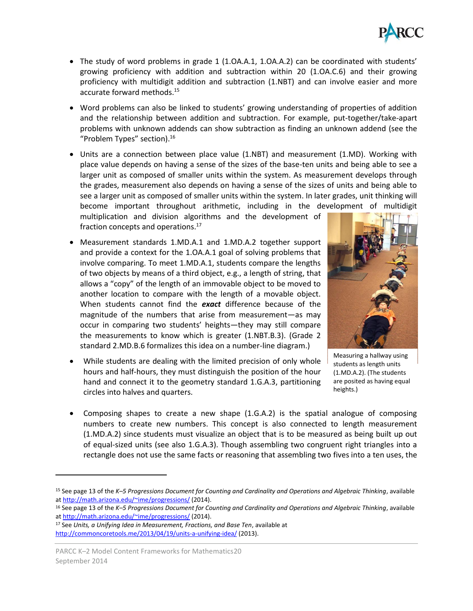

- The study of word problems in grade 1 (1.0A.A.1, 1.0A.A.2) can be coordinated with students' growing proficiency with addition and subtraction within 20 (1.OA.C.6) and their growing proficiency with multidigit addition and subtraction (1.NBT) and can involve easier and more accurate forward methods. 15
- Word problems can also be linked to students' growing understanding of properties of addition and the relationship between addition and subtraction. For example, put-together/take-apart problems with unknown addends can show subtraction as finding an unknown addend (see the "Problem Types" section).<sup>16</sup>
- Units are a connection between place value (1.NBT) and measurement (1.MD). Working with place value depends on having a sense of the sizes of the base-ten units and being able to see a larger unit as composed of smaller units within the system. As measurement develops through the grades, measurement also depends on having a sense of the sizes of units and being able to see a larger unit as composed of smaller units within the system. In later grades, unit thinking will become important throughout arithmetic, including in the development of multidigit multiplication and division algorithms and the development of

fraction concepts and operations.<sup>17</sup>

- Measurement standards 1.MD.A.1 and 1.MD.A.2 together support and provide a context for the 1.OA.A.1 goal of solving problems that involve comparing. To meet 1.MD.A.1, students compare the lengths of two objects by means of a third object, e.g., a length of string, that allows a "copy" of the length of an immovable object to be moved to another location to compare with the length of a movable object. When students cannot find the *exact* difference because of the magnitude of the numbers that arise from measurement—as may occur in comparing two students' heights—they may still compare the measurements to know which is greater (1.NBT.B.3). (Grade 2 standard 2.MD.B.6 formalizes this idea on a number-line diagram.)
- While students are dealing with the limited precision of only whole hours and half-hours, they must distinguish the position of the hour hand and connect it to the geometry standard 1.G.A.3, partitioning circles into halves and quarters.



Measuring a hallway using students as length units (1.MD.A.2). (The students are posited as having equal heights.)

 Composing shapes to create a new shape (1.G.A.2) is the spatial analogue of composing numbers to create new numbers. This concept is also connected to length measurement (1.MD.A.2) since students must visualize an object that is to be measured as being built up out of equal-sized units (see also 1.G.A.3). Though assembling two congruent right triangles into a rectangle does not use the same facts or reasoning that assembling two fives into a ten uses, the

<sup>15</sup> See page 13 of the *K–5 Progressions Document for Counting and Cardinality and Operations and Algebraic Thinking*, available a[t http://math.arizona.edu/~ime/progressions/](http://math.arizona.edu/~ime/progressions/) (2014).

<sup>16</sup> See page 13 of the *K–5 Progressions Document for Counting and Cardinality and Operations and Algebraic Thinking*, available a[t http://math.arizona.edu/~ime/progressions/](http://math.arizona.edu/~ime/progressions/) (2014).

<sup>17</sup> See *Units, a Unifying Idea in Measurement, Fractions, and Base Ten*, available at <http://commoncoretools.me/2013/04/19/units-a-unifying-idea/> (2013).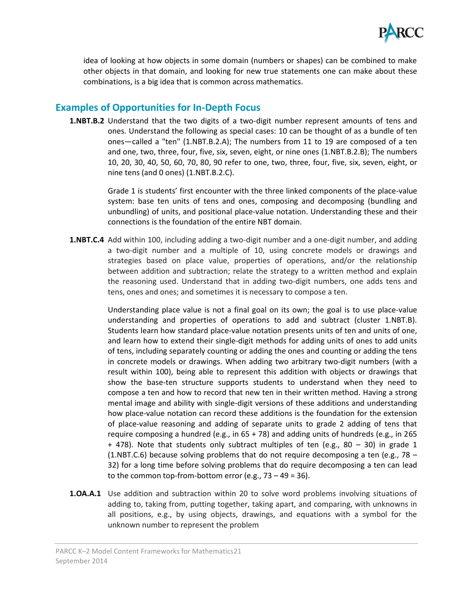

idea of looking at how objects in some domain (numbers or shapes) can be combined to make other objects in that domain, and looking for new true statements one can make about these combinations, is a big idea that is common across mathematics.

## <span id="page-24-0"></span>**Examples of Opportunities for In-Depth Focus**

**1.NBT.B.2** Understand that the two digits of a two-digit number represent amounts of tens and ones. Understand the following as special cases: 10 can be thought of as a bundle of ten ones—called a "ten" (1.NBT.B.2.A); The numbers from 11 to 19 are composed of a ten and one, two, three, four, five, six, seven, eight, or nine ones (1.NBT.B.2.B); The numbers 10, 20, 30, 40, 50, 60, 70, 80, 90 refer to one, two, three, four, five, six, seven, eight, or nine tens (and 0 ones) (1.NBT.B.2.C).

> Grade 1 is students' first encounter with the three linked components of the place-value system: base ten units of tens and ones, composing and decomposing (bundling and unbundling) of units, and positional place-value notation. Understanding these and their connections is the foundation of the entire NBT domain.

**1.NBT.C.4** Add within 100, including adding a two-digit number and a one-digit number, and adding a two-digit number and a multiple of 10, using concrete models or drawings and strategies based on place value, properties of operations, and/or the relationship between addition and subtraction; relate the strategy to a written method and explain the reasoning used. Understand that in adding two-digit numbers, one adds tens and tens, ones and ones; and sometimes it is necessary to compose a ten.

> Understanding place value is not a final goal on its own; the goal is to use place-value understanding and properties of operations to add and subtract (cluster 1.NBT.B). Students learn how standard place-value notation presents units of ten and units of one, and learn how to extend their single-digit methods for adding units of ones to add units of tens, including separately counting or adding the ones and counting or adding the tens in concrete models or drawings. When adding two arbitrary two-digit numbers (with a result within 100), being able to represent this addition with objects or drawings that show the base-ten structure supports students to understand when they need to compose a ten and how to record that new ten in their written method. Having a strong mental image and ability with single-digit versions of these additions and understanding how place-value notation can record these additions is the foundation for the extension of place-value reasoning and adding of separate units to grade 2 adding of tens that require composing a hundred (e.g., in  $65 + 78$ ) and adding units of hundreds (e.g., in 265  $+$  478). Note that students only subtract multiples of ten (e.g., 80 – 30) in grade 1 (1.NBT.C.6) because solving problems that do not require decomposing a ten (e.g., 78 – 32) for a long time before solving problems that do require decomposing a ten can lead to the common top-from-bottom error (e.g.,  $73 - 49 = 36$ ).

**1.OA.A.1** Use addition and subtraction within 20 to solve word problems involving situations of adding to, taking from, putting together, taking apart, and comparing, with unknowns in all positions, e.g., by using objects, drawings, and equations with a symbol for the unknown number to represent the problem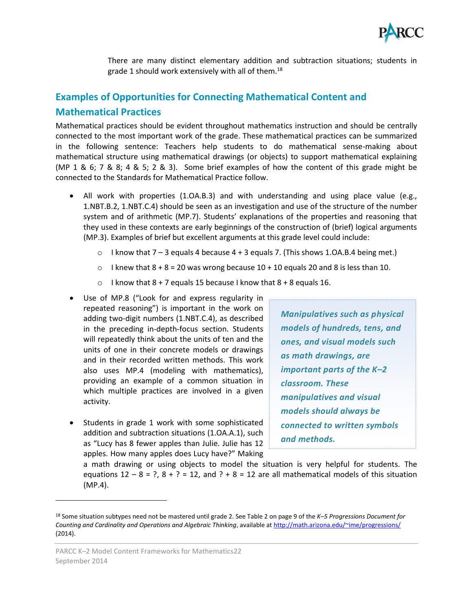

There are many distinct elementary addition and subtraction situations; students in grade 1 should work extensively with all of them.<sup>18</sup>

## <span id="page-25-0"></span>**Examples of Opportunities for Connecting Mathematical Content and Mathematical Practices**

Mathematical practices should be evident throughout mathematics instruction and should be centrally connected to the most important work of the grade. These mathematical practices can be summarized in the following sentence: Teachers help students to do mathematical sense-making about mathematical structure using mathematical drawings (or objects) to support mathematical explaining (MP 1 & 6; 7 & 8; 4 & 5; 2 & 3). Some brief examples of how the content of this grade might be connected to the Standards for Mathematical Practice follow.

- All work with properties (1.OA.B.3) and with understanding and using place value (e.g., 1.NBT.B.2, 1.NBT.C.4) should be seen as an investigation and use of the structure of the number system and of arithmetic (MP.7). Students' explanations of the properties and reasoning that they used in these contexts are early beginnings of the construction of (brief) logical arguments (MP.3). Examples of brief but excellent arguments at this grade level could include:
	- $\circ$  I know that 7 3 equals 4 because 4 + 3 equals 7. (This shows 1.0A.B.4 being met.)
	- $\circ$  I knew that  $8 + 8 = 20$  was wrong because 10 + 10 equals 20 and 8 is less than 10.
	- $\circ$  I know that 8 + 7 equals 15 because I know that 8 + 8 equals 16.
- Use of MP.8 ("Look for and express regularity in repeated reasoning") is important in the work on adding two-digit numbers (1.NBT.C.4), as described in the preceding in-depth-focus section. Students will repeatedly think about the units of ten and the units of one in their concrete models or drawings and in their recorded written methods. This work also uses MP.4 (modeling with mathematics), providing an example of a common situation in which multiple practices are involved in a given activity.
- Students in grade 1 work with some sophisticated addition and subtraction situations (1.OA.A.1), such as "Lucy has 8 fewer apples than Julie. Julie has 12 apples. How many apples does Lucy have?" Making

*Manipulatives such as physical models of hundreds, tens, and ones, and visual models such as math drawings, are important parts of the K–2 classroom. These manipulatives and visual models should always be connected to written symbols and methods.* 

a math drawing or using objects to model the situation is very helpful for students. The equations  $12 - 8 = ?$ ,  $8 + ? = 12$ , and  $? + 8 = 12$  are all mathematical models of this situation (MP.4).

<sup>18</sup> Some situation subtypes need not be mastered until grade 2. See Table 2 on page 9 of the *K–5 Progressions Document for Counting and Cardinality and Operations and Algebraic Thinking*, available a[t http://math.arizona.edu/~ime/progressions/](http://math.arizona.edu/~ime/progressions/) (2014).

PARCC K–2 Model Content Frameworks for Mathematics22 September 2014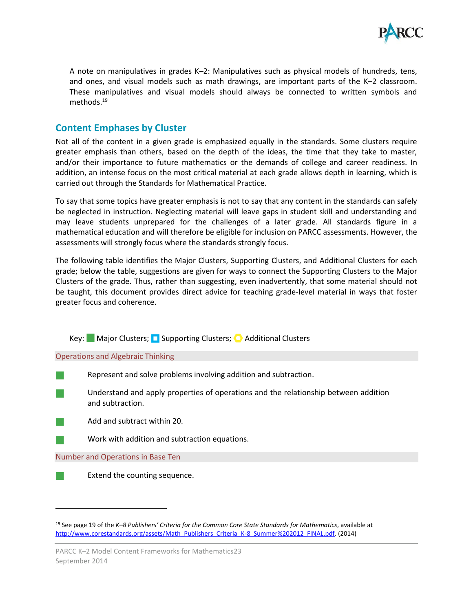

A note on manipulatives in grades K–2: Manipulatives such as physical models of hundreds, tens, and ones, and visual models such as math drawings, are important parts of the K–2 classroom. These manipulatives and visual models should always be connected to written symbols and methods.<sup>19</sup>

## <span id="page-26-0"></span>**Content Emphases by Cluster**

Not all of the content in a given grade is emphasized equally in the standards. Some clusters require greater emphasis than others, based on the depth of the ideas, the time that they take to master, and/or their importance to future mathematics or the demands of college and career readiness. In addition, an intense focus on the most critical material at each grade allows depth in learning, which is carried out through the Standards for Mathematical Practice.

To say that some topics have greater emphasis is not to say that any content in the standards can safely be neglected in instruction. Neglecting material will leave gaps in student skill and understanding and may leave students unprepared for the challenges of a later grade. All standards figure in a mathematical education and will therefore be eligible for inclusion on PARCC assessments. However, the assessments will strongly focus where the standards strongly focus.

The following table identifies the Major Clusters, Supporting Clusters, and Additional Clusters for each grade; below the table, suggestions are given for ways to connect the Supporting Clusters to the Major Clusters of the grade. Thus, rather than suggesting, even inadvertently, that some material should not be taught, this document provides direct advice for teaching grade-level material in ways that foster greater focus and coherence.

Key: Major Clusters; Supporting Clusters; C Additional Clusters

Operations and Algebraic Thinking

- Represent and solve problems involving addition and subtraction.
	- Understand and apply properties of operations and the relationship between addition and subtraction.
- Add and subtract within 20.
	- Work with addition and subtraction equations.

Number and Operations in Base Ten



<sup>19</sup> See page 19 of the *K–8 Publishers' Criteria for the Common Core State Standards for Mathematics*, available at [http://www.corestandards.org/assets/Math\\_Publishers\\_Criteria\\_K-8\\_Summer%202012\\_FINAL.pdf.](http://www.corestandards.org/assets/Math_Publishers_Criteria_K-8_Summer%202012_FINAL.pdf) (2014)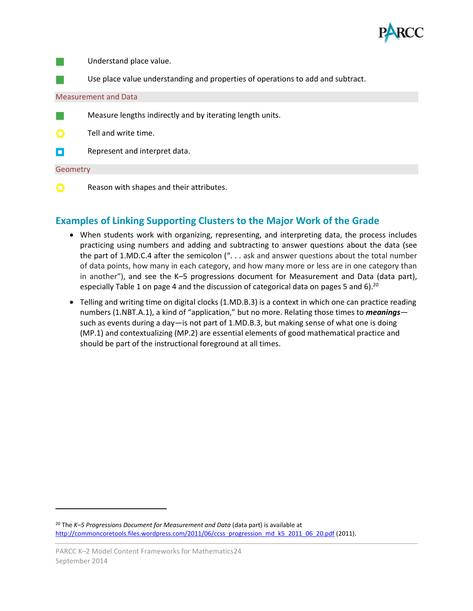

Understand place value.

Use place value understanding and properties of operations to add and subtract.

#### Measurement and Data

Measure lengths indirectly and by iterating length units.

Tell and write time.

П Represent and interpret data.

#### **Geometry**

l

O Reason with shapes and their attributes.

## <span id="page-27-0"></span>**Examples of Linking Supporting Clusters to the Major Work of the Grade**

- When students work with organizing, representing, and interpreting data, the process includes practicing using numbers and adding and subtracting to answer questions about the data (see the part of 1.MD.C.4 after the semicolon (". . . ask and answer questions about the total number of data points, how many in each category, and how many more or less are in one category than in another"), and see the K–5 progressions document for Measurement and Data (data part), especially Table 1 on page 4 and the discussion of categorical data on pages 5 and 6).<sup>20</sup>
- Telling and writing time on digital clocks (1.MD.B.3) is a context in which one can practice reading numbers (1.NBT.A.1), a kind of "application," but no more. Relating those times to *meanings* such as events during a day—is not part of 1.MD.B.3, but making sense of what one is doing (MP.1) and contextualizing (MP.2) are essential elements of good mathematical practice and should be part of the instructional foreground at all times.

<sup>20</sup> The *K–5 Progressions Document for Measurement and Data* (data part) is available at [http://commoncoretools.files.wordpress.com/2011/06/ccss\\_progression\\_md\\_k5\\_2011\\_06\\_20.pdf](http://commoncoretools.files.wordpress.com/2011/06/ccss_progression_md_k5_2011_06_20.pdf) (2011).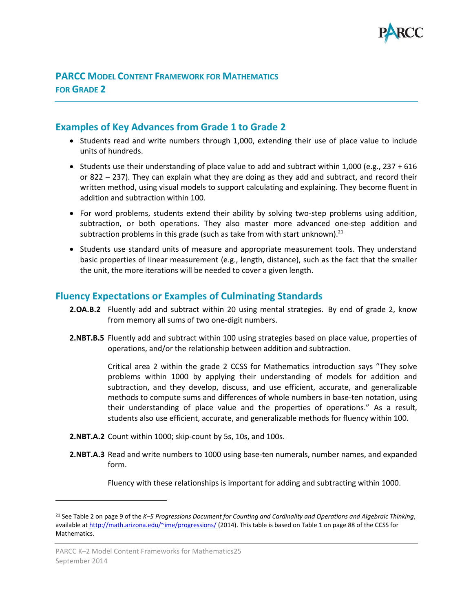

## <span id="page-28-0"></span>**PARCC MODEL CONTENT FRAMEWORK FOR MATHEMATICS FOR GRADE 2**

## <span id="page-28-1"></span>**Examples of Key Advances from Grade 1 to Grade 2**

- Students read and write numbers through 1,000, extending their use of place value to include units of hundreds.
- Students use their understanding of place value to add and subtract within 1,000 (e.g., 237 + 616 or 822 – 237). They can explain what they are doing as they add and subtract, and record their written method, using visual models to support calculating and explaining. They become fluent in addition and subtraction within 100.
- For word problems, students extend their ability by solving two-step problems using addition, subtraction, or both operations. They also master more advanced one-step addition and subtraction problems in this grade (such as take from with start unknown).<sup>21</sup>
- Students use standard units of measure and appropriate measurement tools. They understand basic properties of linear measurement (e.g., length, distance), such as the fact that the smaller the unit, the more iterations will be needed to cover a given length.

## <span id="page-28-2"></span>**Fluency Expectations or Examples of Culminating Standards**

- **2.OA.B.2** Fluently add and subtract within 20 using mental strategies. By end of grade 2, know from memory all sums of two one-digit numbers.
- **2.NBT.B.5** Fluently add and subtract within 100 using strategies based on place value, properties of operations, and/or the relationship between addition and subtraction.

Critical area 2 within the grade 2 CCSS for Mathematics introduction says "They solve problems within 1000 by applying their understanding of models for addition and subtraction, and they develop, discuss, and use efficient, accurate, and generalizable methods to compute sums and differences of whole numbers in base-ten notation, using their understanding of place value and the properties of operations." As a result, students also use efficient, accurate, and generalizable methods for fluency within 100.

- **2.NBT.A.2** Count within 1000; skip-count by 5s, 10s, and 100s.
- **2.NBT.A.3** Read and write numbers to 1000 using base-ten numerals, number names, and expanded form.

Fluency with these relationships is important for adding and subtracting within 1000.

<sup>21</sup> See Table 2 on page 9 of the *K–5 Progressions Document for Counting and Cardinality and Operations and Algebraic Thinking*, available at<http://math.arizona.edu/~ime/progressions/> (2014). This table is based on Table 1 on page 88 of the CCSS for Mathematics.

PARCC K–2 Model Content Frameworks for Mathematics25 September 2014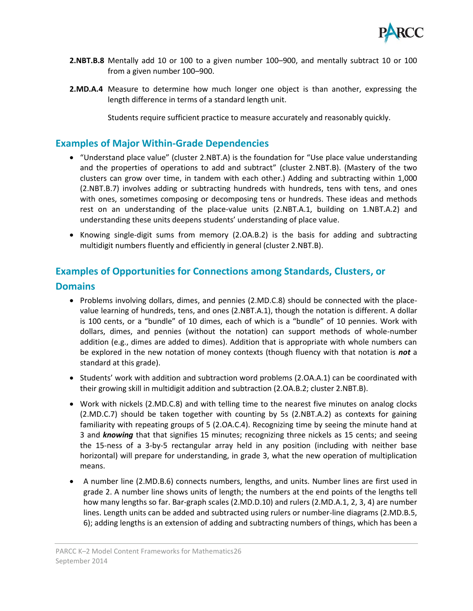

- **2.NBT.B.8** Mentally add 10 or 100 to a given number 100–900, and mentally subtract 10 or 100 from a given number 100–900.
- **2.MD.A.4** Measure to determine how much longer one object is than another, expressing the length difference in terms of a standard length unit.

Students require sufficient practice to measure accurately and reasonably quickly.

## <span id="page-29-0"></span>**Examples of Major Within-Grade Dependencies**

- "Understand place value" (cluster 2.NBT.A) is the foundation for "Use place value understanding and the properties of operations to add and subtract" (cluster 2.NBT.B). (Mastery of the two clusters can grow over time, in tandem with each other.) Adding and subtracting within 1,000 (2.NBT.B.7) involves adding or subtracting hundreds with hundreds, tens with tens, and ones with ones, sometimes composing or decomposing tens or hundreds. These ideas and methods rest on an understanding of the place-value units (2.NBT.A.1, building on 1.NBT.A.2) and understanding these units deepens students' understanding of place value.
- Knowing single-digit sums from memory (2.OA.B.2) is the basis for adding and subtracting multidigit numbers fluently and efficiently in general (cluster 2.NBT.B).

## <span id="page-29-1"></span>**Examples of Opportunities for Connections among Standards, Clusters, or**

#### **Domains**

- Problems involving dollars, dimes, and pennies (2.MD.C.8) should be connected with the placevalue learning of hundreds, tens, and ones (2.NBT.A.1), though the notation is different. A dollar is 100 cents, or a "bundle" of 10 dimes, each of which is a "bundle" of 10 pennies. Work with dollars, dimes, and pennies (without the notation) can support methods of whole-number addition (e.g., dimes are added to dimes). Addition that is appropriate with whole numbers can be explored in the new notation of money contexts (though fluency with that notation is *not* a standard at this grade).
- Students' work with addition and subtraction word problems (2.OA.A.1) can be coordinated with their growing skill in multidigit addition and subtraction (2.OA.B.2; cluster 2.NBT.B).
- Work with nickels (2.MD.C.8) and with telling time to the nearest five minutes on analog clocks (2.MD.C.7) should be taken together with counting by 5s (2.NBT.A.2) as contexts for gaining familiarity with repeating groups of 5 (2.OA.C.4). Recognizing time by seeing the minute hand at 3 and *knowing* that that signifies 15 minutes; recognizing three nickels as 15 cents; and seeing the 15-ness of a 3-by-5 rectangular array held in any position (including with neither base horizontal) will prepare for understanding, in grade 3, what the new operation of multiplication means.
- A number line (2.MD.B.6) connects numbers, lengths, and units. Number lines are first used in grade 2. A number line shows units of length; the numbers at the end points of the lengths tell how many lengths so far. Bar-graph scales (2.MD.D.10) and rulers (2.MD.A.1, 2, 3, 4) are number lines. Length units can be added and subtracted using rulers or number-line diagrams (2.MD.B.5, 6); adding lengths is an extension of adding and subtracting numbers of things, which has been a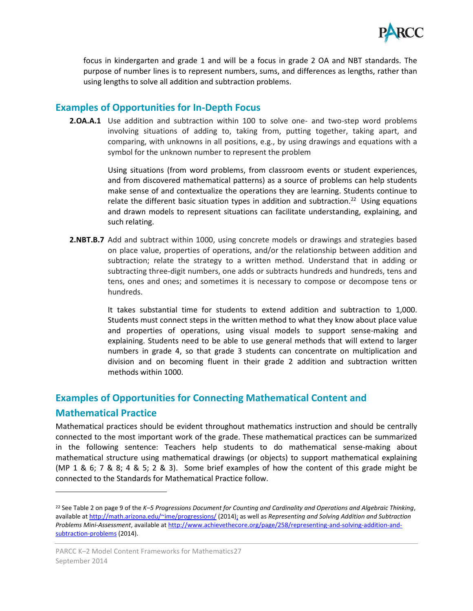

focus in kindergarten and grade 1 and will be a focus in grade 2 OA and NBT standards. The purpose of number lines is to represent numbers, sums, and differences as lengths, rather than using lengths to solve all addition and subtraction problems.

## <span id="page-30-0"></span>**Examples of Opportunities for In-Depth Focus**

**2.OA.A.1** Use addition and subtraction within 100 to solve one- and two-step word problems involving situations of adding to, taking from, putting together, taking apart, and comparing, with unknowns in all positions, e.g., by using drawings and equations with a symbol for the unknown number to represent the problem

> Using situations (from word problems, from classroom events or student experiences, and from discovered mathematical patterns) as a source of problems can help students make sense of and contextualize the operations they are learning. Students continue to relate the different basic situation types in addition and subtraction.<sup>22</sup> Using equations and drawn models to represent situations can facilitate understanding, explaining, and such relating.

**2.NBT.B.7** Add and subtract within 1000, using concrete models or drawings and strategies based on place value, properties of operations, and/or the relationship between addition and subtraction; relate the strategy to a written method. Understand that in adding or subtracting three-digit numbers, one adds or subtracts hundreds and hundreds, tens and tens, ones and ones; and sometimes it is necessary to compose or decompose tens or hundreds.

> It takes substantial time for students to extend addition and subtraction to 1,000. Students must connect steps in the written method to what they know about place value and properties of operations, using visual models to support sense-making and explaining. Students need to be able to use general methods that will extend to larger numbers in grade 4, so that grade 3 students can concentrate on multiplication and division and on becoming fluent in their grade 2 addition and subtraction written methods within 1000.

## <span id="page-30-1"></span>**Examples of Opportunities for Connecting Mathematical Content and Mathematical Practice**

Mathematical practices should be evident throughout mathematics instruction and should be centrally connected to the most important work of the grade. These mathematical practices can be summarized in the following sentence: Teachers help students to do mathematical sense-making about mathematical structure using mathematical drawings (or objects) to support mathematical explaining (MP 1 & 6; 7 & 8; 4 & 5; 2 & 3). Some brief examples of how the content of this grade might be connected to the Standards for Mathematical Practice follow.

 $\overline{\phantom{a}}$ 

<sup>22</sup> See Table 2 on page 9 of the *K–5 Progressions Document for Counting and Cardinality and Operations and Algebraic Thinking*, available at<http://math.arizona.edu/~ime/progressions/> (2014); as well as *Representing and Solving Addition and Subtraction Problems Mini-Assessment*, available at [http://www.achievethecore.org/page/258/representing-and-solving-addition-and](http://www.achievethecore.org/page/258/representing-and-solving-addition-and-subtraction-problems)[subtraction-problems](http://www.achievethecore.org/page/258/representing-and-solving-addition-and-subtraction-problems) (2014).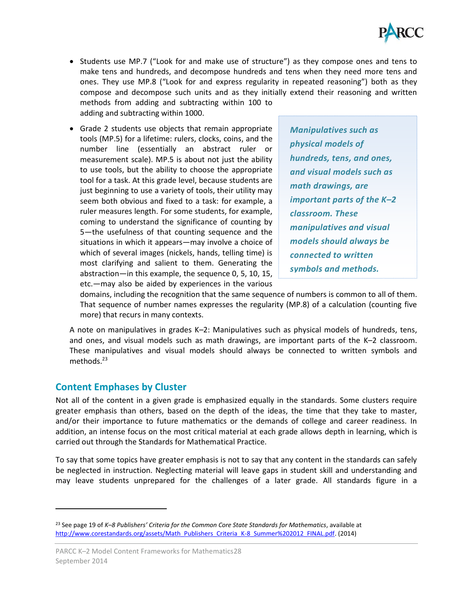

- Students use MP.7 ("Look for and make use of structure") as they compose ones and tens to make tens and hundreds, and decompose hundreds and tens when they need more tens and ones. They use MP.8 ("Look for and express regularity in repeated reasoning") both as they compose and decompose such units and as they initially extend their reasoning and written methods from adding and subtracting within 100 to adding and subtracting within 1000.
- Grade 2 students use objects that remain appropriate tools (MP.5) for a lifetime: rulers, clocks, coins, and the number line (essentially an abstract ruler or measurement scale). MP.5 is about not just the ability to use tools, but the ability to choose the appropriate tool for a task. At this grade level, because students are just beginning to use a variety of tools, their utility may seem both obvious and fixed to a task: for example, a ruler measures length. For some students, for example, coming to understand the significance of counting by 5—the usefulness of that counting sequence and the situations in which it appears—may involve a choice of which of several images (nickels, hands, telling time) is most clarifying and salient to them. Generating the abstraction—in this example, the sequence 0, 5, 10, 15, etc.—may also be aided by experiences in the various

*Manipulatives such as physical models of hundreds, tens, and ones, and visual models such as math drawings, are important parts of the K–2 classroom. These manipulatives and visual models should always be connected to written symbols and methods.* 

domains, including the recognition that the same sequence of numbers is common to all of them. That sequence of number names expresses the regularity (MP.8) of a calculation (counting five more) that recurs in many contexts.

A note on manipulatives in grades K–2: Manipulatives such as physical models of hundreds, tens, and ones, and visual models such as math drawings, are important parts of the K–2 classroom. These manipulatives and visual models should always be connected to written symbols and methods.<sup>23</sup>

## <span id="page-31-0"></span>**Content Emphases by Cluster**

l

Not all of the content in a given grade is emphasized equally in the standards. Some clusters require greater emphasis than others, based on the depth of the ideas, the time that they take to master, and/or their importance to future mathematics or the demands of college and career readiness. In addition, an intense focus on the most critical material at each grade allows depth in learning, which is carried out through the Standards for Mathematical Practice.

To say that some topics have greater emphasis is not to say that any content in the standards can safely be neglected in instruction. Neglecting material will leave gaps in student skill and understanding and may leave students unprepared for the challenges of a later grade. All standards figure in a

<sup>23</sup> See page 19 of *K–8 Publishers' Criteria for the Common Core State Standards for Mathematics*, available at [http://www.corestandards.org/assets/Math\\_Publishers\\_Criteria\\_K-8\\_Summer%202012\\_FINAL.pdf.](http://www.corestandards.org/assets/Math_Publishers_Criteria_K-8_Summer%202012_FINAL.pdf) (2014)

PARCC K–2 Model Content Frameworks for Mathematics28 September 2014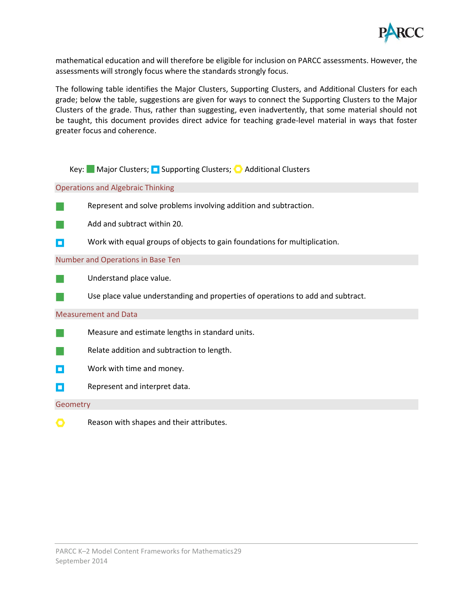

mathematical education and will therefore be eligible for inclusion on PARCC assessments. However, the assessments will strongly focus where the standards strongly focus.

The following table identifies the Major Clusters, Supporting Clusters, and Additional Clusters for each grade; below the table, suggestions are given for ways to connect the Supporting Clusters to the Major Clusters of the grade. Thus, rather than suggesting, even inadvertently, that some material should not be taught, this document provides direct advice for teaching grade-level material in ways that foster greater focus and coherence.

|                             | ■ Major Clusters; ■ Supporting Clusters; ● Additional Clusters<br>Kev:          |  |  |
|-----------------------------|---------------------------------------------------------------------------------|--|--|
|                             | <b>Operations and Algebraic Thinking</b>                                        |  |  |
|                             | Represent and solve problems involving addition and subtraction.                |  |  |
|                             | Add and subtract within 20.                                                     |  |  |
| о                           | Work with equal groups of objects to gain foundations for multiplication.       |  |  |
|                             | Number and Operations in Base Ten                                               |  |  |
|                             | Understand place value.                                                         |  |  |
|                             | Use place value understanding and properties of operations to add and subtract. |  |  |
| <b>Measurement and Data</b> |                                                                                 |  |  |
|                             | Measure and estimate lengths in standard units.                                 |  |  |
|                             | Relate addition and subtraction to length.                                      |  |  |
| Ξ                           | Work with time and money.                                                       |  |  |
| о                           | Represent and interpret data.                                                   |  |  |
| Geometry                    |                                                                                 |  |  |
|                             | Reason with shapes and their attributes.                                        |  |  |